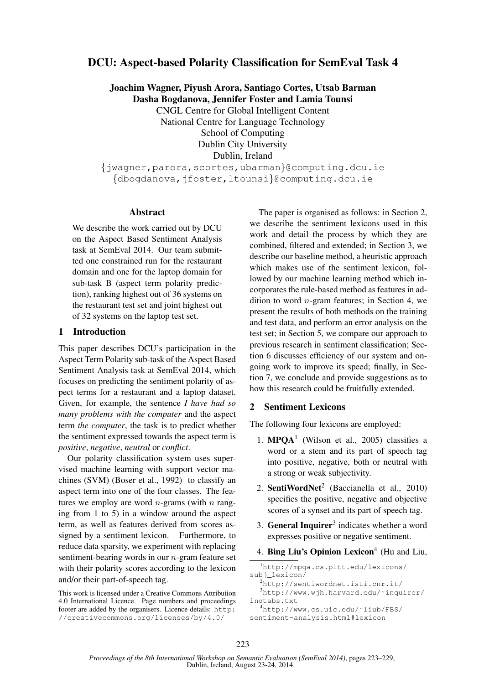# DCU: Aspect-based Polarity Classification for SemEval Task 4

Joachim Wagner, Piyush Arora, Santiago Cortes, Utsab Barman Dasha Bogdanova, Jennifer Foster and Lamia Tounsi

CNGL Centre for Global Intelligent Content

National Centre for Language Technology School of Computing Dublin City University Dublin, Ireland

{jwagner,parora,scortes,ubarman}@computing.dcu.ie {dbogdanova,jfoster,ltounsi}@computing.dcu.ie

### Abstract

We describe the work carried out by DCU on the Aspect Based Sentiment Analysis task at SemEval 2014. Our team submitted one constrained run for the restaurant domain and one for the laptop domain for sub-task B (aspect term polarity prediction), ranking highest out of 36 systems on the restaurant test set and joint highest out of 32 systems on the laptop test set.

### 1 Introduction

This paper describes DCU's participation in the Aspect Term Polarity sub-task of the Aspect Based Sentiment Analysis task at SemEval 2014, which focuses on predicting the sentiment polarity of aspect terms for a restaurant and a laptop dataset. Given, for example, the sentence *I have had so many problems with the computer* and the aspect term *the computer*, the task is to predict whether the sentiment expressed towards the aspect term is *positive*, *negative*, *neutral* or *conflict*.

Our polarity classification system uses supervised machine learning with support vector machines (SVM) (Boser et al., 1992) to classify an aspect term into one of the four classes. The features we employ are word *n*-grams (with *n* ranging from 1 to 5) in a window around the aspect term, as well as features derived from scores assigned by a sentiment lexicon. Furthermore, to reduce data sparsity, we experiment with replacing sentiment-bearing words in our n-gram feature set with their polarity scores according to the lexicon and/or their part-of-speech tag.

The paper is organised as follows: in Section 2, we describe the sentiment lexicons used in this work and detail the process by which they are combined, filtered and extended; in Section 3, we describe our baseline method, a heuristic approach which makes use of the sentiment lexicon, followed by our machine learning method which incorporates the rule-based method as features in addition to word *n*-gram features; in Section 4, we present the results of both methods on the training and test data, and perform an error analysis on the test set; in Section 5, we compare our approach to previous research in sentiment classification; Section 6 discusses efficiency of our system and ongoing work to improve its speed; finally, in Section 7, we conclude and provide suggestions as to how this research could be fruitfully extended.

## 2 Sentiment Lexicons

The following four lexicons are employed:

- 1.  $MPQA<sup>1</sup>$  (Wilson et al., 2005) classifies a word or a stem and its part of speech tag into positive, negative, both or neutral with a strong or weak subjectivity.
- 2. SentiWordNet<sup>2</sup> (Baccianella et al., 2010) specifies the positive, negative and objective scores of a synset and its part of speech tag.
- 3. General Inquirer<sup>3</sup> indicates whether a word expresses positive or negative sentiment.
- 4. Bing Liu's Opinion Lexicon $4$  (Hu and Liu,

```
1http://mpqa.cs.pitt.edu/lexicons/
subj_lexicon/
  2http://sentiwordnet.isti.cnr.it/
  3http://www.wjh.harvard.edu/~inquirer/
inqtabs.txt
  <sup>4</sup>http://www.cs.uic.edu/~liub/FBS/
sentiment-analysis.html#lexicon
```
This work is licensed under a Creative Commons Attribution 4.0 International Licence. Page numbers and proceedings footer are added by the organisers. Licence details: http: //creativecommons.org/licenses/by/4.0/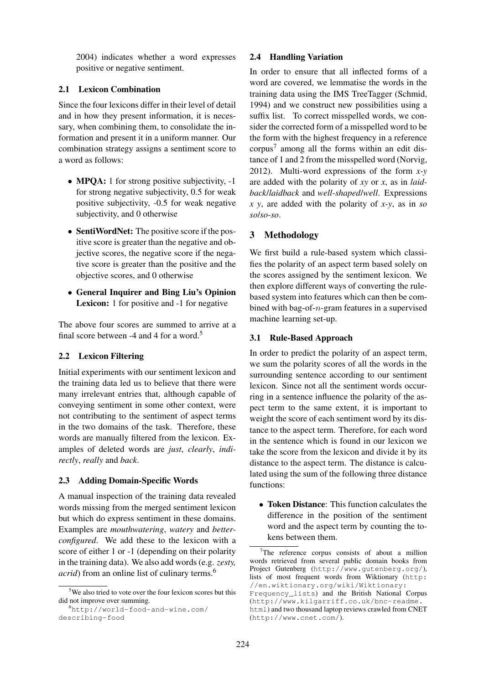2004) indicates whether a word expresses positive or negative sentiment.

## 2.1 Lexicon Combination

Since the four lexicons differ in their level of detail and in how they present information, it is necessary, when combining them, to consolidate the information and present it in a uniform manner. Our combination strategy assigns a sentiment score to a word as follows:

- **MPQA:** 1 for strong positive subjectivity, -1 for strong negative subjectivity, 0.5 for weak positive subjectivity, -0.5 for weak negative subjectivity, and 0 otherwise
- SentiWordNet: The positive score if the positive score is greater than the negative and objective scores, the negative score if the negative score is greater than the positive and the objective scores, and 0 otherwise
- General Inquirer and Bing Liu's Opinion Lexicon: 1 for positive and  $-1$  for negative

The above four scores are summed to arrive at a final score between -4 and 4 for a word.<sup>5</sup>

# 2.2 Lexicon Filtering

Initial experiments with our sentiment lexicon and the training data led us to believe that there were many irrelevant entries that, although capable of conveying sentiment in some other context, were not contributing to the sentiment of aspect terms in the two domains of the task. Therefore, these words are manually filtered from the lexicon. Examples of deleted words are *just*, *clearly*, *indirectly*, *really* and *back*.

# 2.3 Adding Domain-Specific Words

A manual inspection of the training data revealed words missing from the merged sentiment lexicon but which do express sentiment in these domains. Examples are *mouthwatering*, *watery* and *betterconfigured*. We add these to the lexicon with a score of either 1 or -1 (depending on their polarity in the training data). We also add words (e.g. *zesty, acrid*) from an online list of culinary terms.<sup>6</sup>

## 2.4 Handling Variation

In order to ensure that all inflected forms of a word are covered, we lemmatise the words in the training data using the IMS TreeTagger (Schmid, 1994) and we construct new possibilities using a suffix list. To correct misspelled words, we consider the corrected form of a misspelled word to be the form with the highest frequency in a reference corpus<sup>7</sup> among all the forms within an edit distance of 1 and 2 from the misspelled word (Norvig, 2012). Multi-word expressions of the form *x-y* are added with the polarity of *xy* or *x*, as in *laidback*/*laidback* and *well-shaped*/*well*. Expressions *x y*, are added with the polarity of *x-y*, as in *so so*/*so-so*.

# 3 Methodology

We first build a rule-based system which classifies the polarity of an aspect term based solely on the scores assigned by the sentiment lexicon. We then explore different ways of converting the rulebased system into features which can then be combined with bag-of- $n$ -gram features in a supervised machine learning set-up.

# 3.1 Rule-Based Approach

In order to predict the polarity of an aspect term, we sum the polarity scores of all the words in the surrounding sentence according to our sentiment lexicon. Since not all the sentiment words occurring in a sentence influence the polarity of the aspect term to the same extent, it is important to weight the score of each sentiment word by its distance to the aspect term. Therefore, for each word in the sentence which is found in our lexicon we take the score from the lexicon and divide it by its distance to the aspect term. The distance is calculated using the sum of the following three distance functions:

• Token Distance: This function calculates the difference in the position of the sentiment word and the aspect term by counting the tokens between them.

<sup>&</sup>lt;sup>5</sup>We also tried to vote over the four lexicon scores but this did not improve over summing.

<sup>6</sup>http://world-food-and-wine.com/ describing-food

 $7$ The reference corpus consists of about a million words retrieved from several public domain books from Project Gutenberg (http://www.gutenberg.org/), lists of most frequent words from Wiktionary (http: //en.wiktionary.org/wiki/Wiktionary: Frequency\_lists) and the British National Corpus

<sup>(</sup>http://www.kilgarriff.co.uk/bnc-readme. html) and two thousand laptop reviews crawled from CNET (http://www.cnet.com/).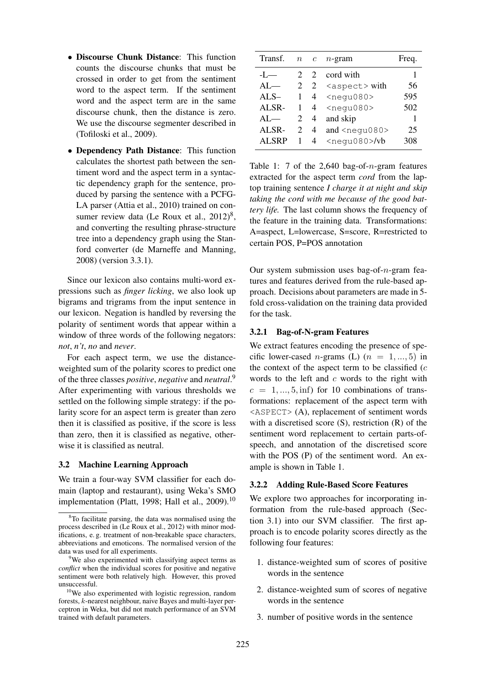- Discourse Chunk Distance: This function counts the discourse chunks that must be crossed in order to get from the sentiment word to the aspect term. If the sentiment word and the aspect term are in the same discourse chunk, then the distance is zero. We use the discourse segmenter described in (Tofiloski et al., 2009).
- Dependency Path Distance: This function calculates the shortest path between the sentiment word and the aspect term in a syntactic dependency graph for the sentence, produced by parsing the sentence with a PCFG-LA parser (Attia et al., 2010) trained on consumer review data (Le Roux et al.,  $2012)^8$ , and converting the resulting phrase-structure tree into a dependency graph using the Stanford converter (de Marneffe and Manning, 2008) (version 3.3.1).

Since our lexicon also contains multi-word expressions such as *finger licking*, we also look up bigrams and trigrams from the input sentence in our lexicon. Negation is handled by reversing the polarity of sentiment words that appear within a window of three words of the following negators: *not*, *n't*, *no* and *never*.

For each aspect term, we use the distanceweighted sum of the polarity scores to predict one of the three classes *positive*, *negative* and *neutral*. 9 After experimenting with various thresholds we settled on the following simple strategy: if the polarity score for an aspect term is greater than zero then it is classified as positive, if the score is less than zero, then it is classified as negative, otherwise it is classified as neutral.

#### 3.2 Machine Learning Approach

We train a four-way SVM classifier for each domain (laptop and restaurant), using Weka's SMO implementation (Platt, 1998; Hall et al., 2009).<sup>10</sup>

| Transf.      |             | $n \quad c$    | $n$ -gram                   | Freq. |
|--------------|-------------|----------------|-----------------------------|-------|
| $-I$ —       | $2^{\circ}$ |                | 2 cord with                 | 1     |
| $AI$ —       |             |                | 2 2 $\langle$ aspect > with | 56    |
| $ALS-$       | 1           | $\overline{4}$ | <negu080></negu080>         | 595   |
| ALSR-        | 1           | $\overline{4}$ | <negu080></negu080>         | 502   |
| $AI$ —       | 2           | $\overline{4}$ | and skip                    | 1     |
| ALSR-        | 2           | $\overline{4}$ | and $<$ nequ080 $>$         | 25    |
| <b>ALSRP</b> | 1           |                | 4 $<$ negu080>/vb           | 308   |

Table 1: 7 of the 2,640 bag-of- $n$ -gram features extracted for the aspect term *cord* from the laptop training sentence *I charge it at night and skip taking the cord with me because of the good battery life.* The last column shows the frequency of the feature in the training data. Transformations: A=aspect, L=lowercase, S=score, R=restricted to certain POS, P=POS annotation

Our system submission uses bag-of- $n$ -gram features and features derived from the rule-based approach. Decisions about parameters are made in 5 fold cross-validation on the training data provided for the task.

#### 3.2.1 Bag-of-N-gram Features

We extract features encoding the presence of specific lower-cased *n*-grams (L)  $(n = 1, ..., 5)$  in the context of the aspect term to be classified  $(c)$ words to the left and  $c$  words to the right with  $c = 1, ..., 5, \text{inf}$  for 10 combinations of transformations: replacement of the aspect term with <ASPECT> (A), replacement of sentiment words with a discretised score (S), restriction (R) of the sentiment word replacement to certain parts-ofspeech, and annotation of the discretised score with the POS (P) of the sentiment word. An example is shown in Table 1.

## 3.2.2 Adding Rule-Based Score Features

We explore two approaches for incorporating information from the rule-based approach (Section 3.1) into our SVM classifier. The first approach is to encode polarity scores directly as the following four features:

- 1. distance-weighted sum of scores of positive words in the sentence
- 2. distance-weighted sum of scores of negative words in the sentence
- 3. number of positive words in the sentence

 $8$ To facilitate parsing, the data was normalised using the process described in (Le Roux et al., 2012) with minor modifications, e. g. treatment of non-breakable space characters, abbreviations and emoticons. The normalised version of the data was used for all experiments.

<sup>9</sup>We also experimented with classifying aspect terms as *conflict* when the individual scores for positive and negative sentiment were both relatively high. However, this proved unsuccessful.

<sup>10</sup>We also experimented with logistic regression, random forests, k-nearest neighbour, naive Bayes and multi-layer perceptron in Weka, but did not match performance of an SVM trained with default parameters.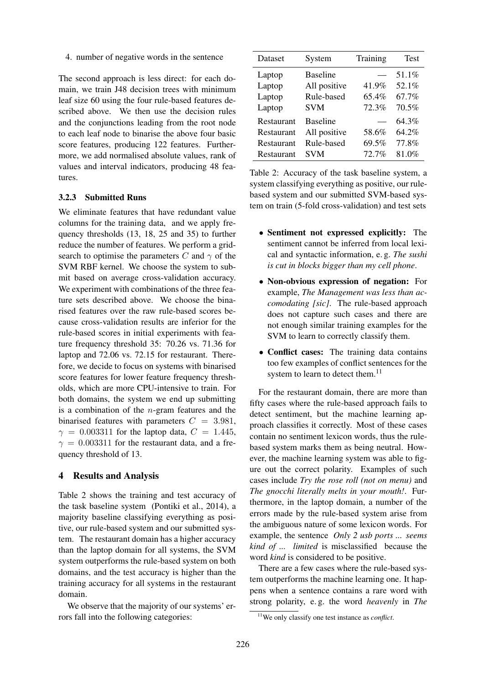4. number of negative words in the sentence

The second approach is less direct: for each domain, we train J48 decision trees with minimum leaf size 60 using the four rule-based features described above. We then use the decision rules and the conjunctions leading from the root node to each leaf node to binarise the above four basic score features, producing 122 features. Furthermore, we add normalised absolute values, rank of values and interval indicators, producing 48 features.

### 3.2.3 Submitted Runs

We eliminate features that have redundant value columns for the training data, and we apply frequency thresholds (13, 18, 25 and 35) to further reduce the number of features. We perform a gridsearch to optimise the parameters C and  $\gamma$  of the SVM RBF kernel. We choose the system to submit based on average cross-validation accuracy. We experiment with combinations of the three feature sets described above. We choose the binarised features over the raw rule-based scores because cross-validation results are inferior for the rule-based scores in initial experiments with feature frequency threshold 35: 70.26 vs. 71.36 for laptop and 72.06 vs. 72.15 for restaurant. Therefore, we decide to focus on systems with binarised score features for lower feature frequency thresholds, which are more CPU-intensive to train. For both domains, the system we end up submitting is a combination of the  $n$ -gram features and the binarised features with parameters  $C = 3.981$ ,  $\gamma = 0.003311$  for the laptop data,  $C = 1.445$ ,  $\gamma = 0.003311$  for the restaurant data, and a frequency threshold of 13.

### 4 Results and Analysis

Table 2 shows the training and test accuracy of the task baseline system (Pontiki et al., 2014), a majority baseline classifying everything as positive, our rule-based system and our submitted system. The restaurant domain has a higher accuracy than the laptop domain for all systems, the SVM system outperforms the rule-based system on both domains, and the test accuracy is higher than the training accuracy for all systems in the restaurant domain.

We observe that the majority of our systems' errors fall into the following categories:

| Dataset    | System          | Training | <b>Test</b> |
|------------|-----------------|----------|-------------|
| Laptop     | <b>Baseline</b> |          | 51.1%       |
| Laptop     | All positive    | 41.9%    | 52.1%       |
| Laptop     | Rule-based      | 65.4%    | 67.7%       |
| Laptop     | <b>SVM</b>      | 72.3%    | 70.5%       |
| Restaurant | <b>Baseline</b> |          | 64.3%       |
| Restaurant | All positive    | 58.6%    | 64.2%       |
| Restaurant | Rule-based      | 69.5%    | 77.8%       |
| Restaurant | <b>SVM</b>      | 72.7%    | 81.0%       |

Table 2: Accuracy of the task baseline system, a system classifying everything as positive, our rulebased system and our submitted SVM-based system on train (5-fold cross-validation) and test sets

- Sentiment not expressed explicitly: The sentiment cannot be inferred from local lexical and syntactic information, e. g. *The sushi is cut in blocks bigger than my cell phone*.
- Non-obvious expression of negation: For example, *The Management was less than accomodating [sic]*. The rule-based approach does not capture such cases and there are not enough similar training examples for the SVM to learn to correctly classify them.
- Conflict cases: The training data contains too few examples of conflict sentences for the system to learn to detect them.<sup>11</sup>

For the restaurant domain, there are more than fifty cases where the rule-based approach fails to detect sentiment, but the machine learning approach classifies it correctly. Most of these cases contain no sentiment lexicon words, thus the rulebased system marks them as being neutral. However, the machine learning system was able to figure out the correct polarity. Examples of such cases include *Try the rose roll (not on menu)* and *The gnocchi literally melts in your mouth!*. Furthermore, in the laptop domain, a number of the errors made by the rule-based system arise from the ambiguous nature of some lexicon words. For example, the sentence *Only 2 usb ports ... seems kind of ... limited* is misclassified because the word *kind* is considered to be positive.

There are a few cases where the rule-based system outperforms the machine learning one. It happens when a sentence contains a rare word with strong polarity, e. g. the word *heavenly* in *The*

<sup>11</sup>We only classify one test instance as *conflict*.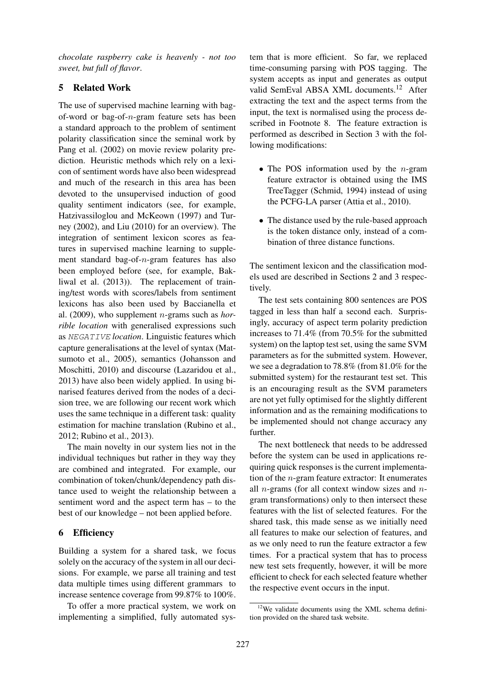*chocolate raspberry cake is heavenly - not too sweet, but full of flavor*.

## 5 Related Work

The use of supervised machine learning with bagof-word or bag-of-n-gram feature sets has been a standard approach to the problem of sentiment polarity classification since the seminal work by Pang et al. (2002) on movie review polarity prediction. Heuristic methods which rely on a lexicon of sentiment words have also been widespread and much of the research in this area has been devoted to the unsupervised induction of good quality sentiment indicators (see, for example, Hatzivassiloglou and McKeown (1997) and Turney (2002), and Liu (2010) for an overview). The integration of sentiment lexicon scores as features in supervised machine learning to supplement standard bag-of-n-gram features has also been employed before (see, for example, Bakliwal et al. (2013)). The replacement of training/test words with scores/labels from sentiment lexicons has also been used by Baccianella et al. (2009), who supplement n-grams such as *horrible location* with generalised expressions such as NEGATIVE *location*. Linguistic features which capture generalisations at the level of syntax (Matsumoto et al., 2005), semantics (Johansson and Moschitti, 2010) and discourse (Lazaridou et al., 2013) have also been widely applied. In using binarised features derived from the nodes of a decision tree, we are following our recent work which uses the same technique in a different task: quality estimation for machine translation (Rubino et al., 2012; Rubino et al., 2013).

The main novelty in our system lies not in the individual techniques but rather in they way they are combined and integrated. For example, our combination of token/chunk/dependency path distance used to weight the relationship between a sentiment word and the aspect term has – to the best of our knowledge – not been applied before.

# 6 Efficiency

Building a system for a shared task, we focus solely on the accuracy of the system in all our decisions. For example, we parse all training and test data multiple times using different grammars to increase sentence coverage from 99.87% to 100%.

To offer a more practical system, we work on implementing a simplified, fully automated system that is more efficient. So far, we replaced time-consuming parsing with POS tagging. The system accepts as input and generates as output valid SemEval ABSA XML documents.<sup>12</sup> After extracting the text and the aspect terms from the input, the text is normalised using the process described in Footnote 8. The feature extraction is performed as described in Section 3 with the following modifications:

- The POS information used by the  $n$ -gram feature extractor is obtained using the IMS TreeTagger (Schmid, 1994) instead of using the PCFG-LA parser (Attia et al., 2010).
- The distance used by the rule-based approach is the token distance only, instead of a combination of three distance functions.

The sentiment lexicon and the classification models used are described in Sections 2 and 3 respectively.

The test sets containing 800 sentences are POS tagged in less than half a second each. Surprisingly, accuracy of aspect term polarity prediction increases to 71.4% (from 70.5% for the submitted system) on the laptop test set, using the same SVM parameters as for the submitted system. However, we see a degradation to 78.8% (from 81.0% for the submitted system) for the restaurant test set. This is an encouraging result as the SVM parameters are not yet fully optimised for the slightly different information and as the remaining modifications to be implemented should not change accuracy any further.

The next bottleneck that needs to be addressed before the system can be used in applications requiring quick responses is the current implementation of the n-gram feature extractor: It enumerates all *n*-grams (for all context window sizes and *n*gram transformations) only to then intersect these features with the list of selected features. For the shared task, this made sense as we initially need all features to make our selection of features, and as we only need to run the feature extractor a few times. For a practical system that has to process new test sets frequently, however, it will be more efficient to check for each selected feature whether the respective event occurs in the input.

 $12$ We validate documents using the XML schema definition provided on the shared task website.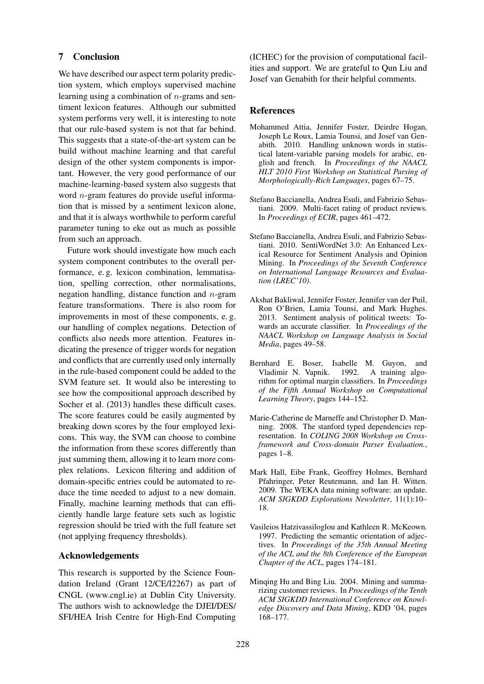### 7 Conclusion

We have described our aspect term polarity prediction system, which employs supervised machine learning using a combination of  $n$ -grams and sentiment lexicon features. Although our submitted system performs very well, it is interesting to note that our rule-based system is not that far behind. This suggests that a state-of-the-art system can be build without machine learning and that careful design of the other system components is important. However, the very good performance of our machine-learning-based system also suggests that word n-gram features do provide useful information that is missed by a sentiment lexicon alone, and that it is always worthwhile to perform careful parameter tuning to eke out as much as possible from such an approach.

Future work should investigate how much each system component contributes to the overall performance, e. g. lexicon combination, lemmatisation, spelling correction, other normalisations, negation handling, distance function and  $n$ -gram feature transformations. There is also room for improvements in most of these components, e. g. our handling of complex negations. Detection of conflicts also needs more attention. Features indicating the presence of trigger words for negation and conflicts that are currently used only internally in the rule-based component could be added to the SVM feature set. It would also be interesting to see how the compositional approach described by Socher et al. (2013) handles these difficult cases. The score features could be easily augmented by breaking down scores by the four employed lexicons. This way, the SVM can choose to combine the information from these scores differently than just summing them, allowing it to learn more complex relations. Lexicon filtering and addition of domain-specific entries could be automated to reduce the time needed to adjust to a new domain. Finally, machine learning methods that can efficiently handle large feature sets such as logistic regression should be tried with the full feature set (not applying frequency thresholds).

### Acknowledgements

This research is supported by the Science Foundation Ireland (Grant 12/CE/I2267) as part of CNGL (www.cngl.ie) at Dublin City University. The authors wish to acknowledge the DJEI/DES/ SFI/HEA Irish Centre for High-End Computing (ICHEC) for the provision of computational facilities and support. We are grateful to Qun Liu and Josef van Genabith for their helpful comments.

### References

- Mohammed Attia, Jennifer Foster, Deirdre Hogan, Joseph Le Roux, Lamia Tounsi, and Josef van Genabith. 2010. Handling unknown words in statistical latent-variable parsing models for arabic, english and french. In *Proceedings of the NAACL HLT 2010 First Workshop on Statistical Parsing of Morphologically-Rich Languages*, pages 67–75.
- Stefano Baccianella, Andrea Esuli, and Fabrizio Sebastiani. 2009. Multi-facet rating of product reviews. In *Proceedings of ECIR*, pages 461–472.
- Stefano Baccianella, Andrea Esuli, and Fabrizio Sebastiani. 2010. SentiWordNet 3.0: An Enhanced Lexical Resource for Sentiment Analysis and Opinion Mining. In *Proceedings of the Seventh Conference on International Language Resources and Evaluation (LREC'10)*.
- Akshat Bakliwal, Jennifer Foster, Jennifer van der Puil, Ron O'Brien, Lamia Tounsi, and Mark Hughes. 2013. Sentiment analysis of political tweets: Towards an accurate classifier. In *Proceedings of the NAACL Workshop on Language Analysis in Social Media*, pages 49–58.
- Bernhard E. Boser, Isabelle M. Guyon, and<br>Vladimir N. Vapnik. 1992. A training algo-Vladimir N. Vapnik. 1992. rithm for optimal margin classifiers. In *Proceedings of the Fifth Annual Workshop on Computational Learning Theory*, pages 144–152.
- Marie-Catherine de Marneffe and Christopher D. Manning. 2008. The stanford typed dependencies representation. In *COLING 2008 Workshop on Crossframework and Cross-domain Parser Evaluation.*, pages 1–8.
- Mark Hall, Eibe Frank, Geoffrey Holmes, Bernhard Pfahringer, Peter Reutemann, and Ian H. Witten. 2009. The WEKA data mining software: an update. *ACM SIGKDD Explorations Newsletter*, 11(1):10– 18.
- Vasileios Hatzivassiloglou and Kathleen R. McKeown. 1997. Predicting the semantic orientation of adjectives. In *Proceedings of the 35th Annual Meeting of the ACL and the 8th Conference of the European Chapter of the ACL*, pages 174–181.
- Minqing Hu and Bing Liu. 2004. Mining and summarizing customer reviews. In *Proceedings of the Tenth ACM SIGKDD International Conference on Knowledge Discovery and Data Mining*, KDD '04, pages 168–177.